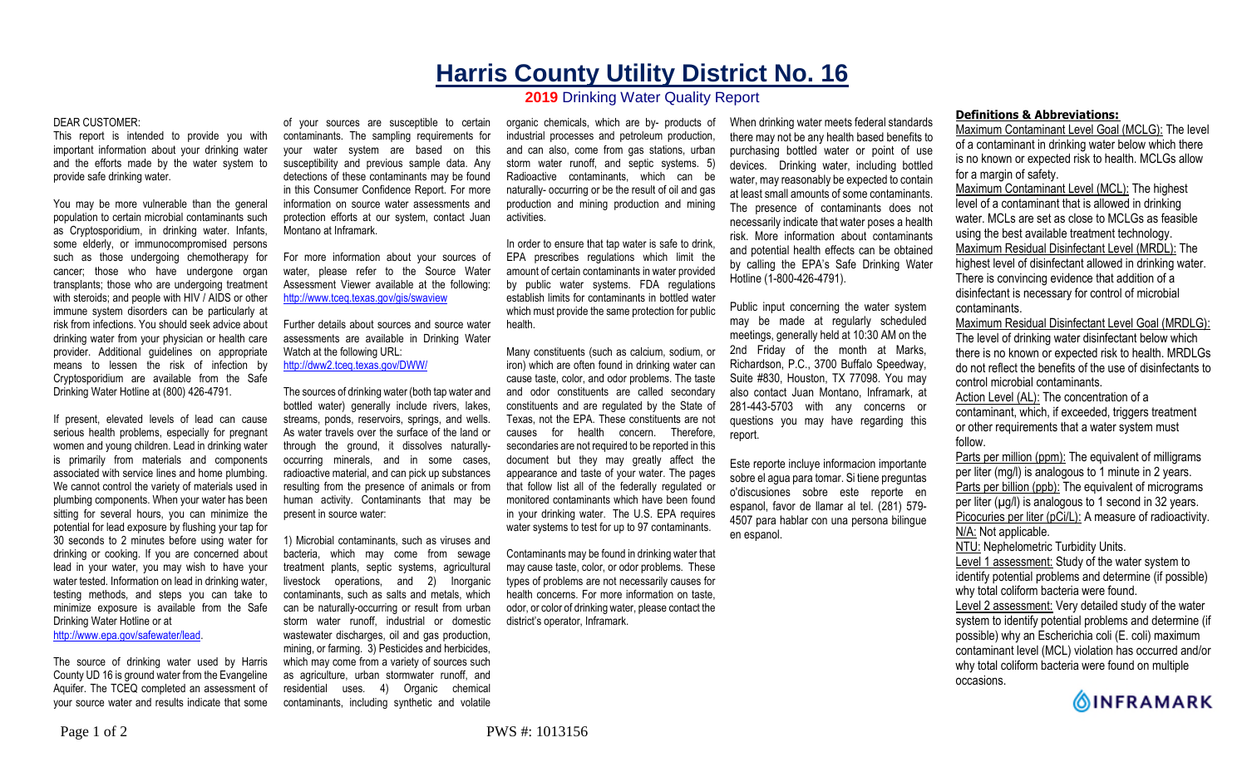## **Harris County Utility District No. 16**

## **2019** Drinking Water Quality Report

## DEAR CUSTOMER:

This report is intended to provide you with important information about your drinking water and the efforts made by the water system to provide safe drinking water.

You may be more vulnerable than the general population to certain microbial contaminants such as Cryptosporidium, in drinking water. Infants, some elderly, or immunocompromised persons such as those undergoing chemotherapy for cancer; those who have undergone organ transplants; those who are undergoing treatment with steroids; and people with HIV / AIDS or other immune system disorders can be particularly at risk from infections. You should seek advice about drinking water from your physician or health care provider. Additional guidelines on appropriate means to lessen the risk of infection by Cryptosporidium are available from the Safe Drinking Water Hotline at (800) 426-4791.

If present, elevated levels of lead can cause serious health problems, especially for pregnant women and young children. Lead in drinking water is primarily from materials and components associated with service lines and home plumbing. We cannot control the variety of materials used in plumbing components. When your water has been sitting for several hours, you can minimize the potential for lead exposure by flushing your tap for 30 seconds to 2 minutes before using water for drinking or cooking. If you are concerned about lead in your water, you may wish to have your water tested. Information on lead in drinking water, testing methods, and steps you can take to minimize exposure is available from the Safe Drinking Water Hotline or at

http://www.epa.gov/safewater/lead.

The source of drinking water used by Harris County UD 16 is ground water from the Evangeline Aquifer. The TCEQ completed an assessment of your source water and results indicate that some

of your sources are susceptible to certain contaminants. The sampling requirements for your water system are based on this susceptibility and previous sample data. Any detections of these contaminants may be found in this Consumer Confidence Report. For more information on source water assessments and protection efforts at our system, contact Juan Montano at Inframark.

For more information about your sources of water, please refer to the Source Water Assessment Viewer available at the following: http://www.tceq.texas.gov/gis/swaview

Further details about sources and source water assessments are available in Drinking Water Watch at the following URL:

http://dww2.tceq.texas.gov/DWW/

The sources of drinking water (both tap water and bottled water) generally include rivers, lakes, streams, ponds, reservoirs, springs, and wells. As water travels over the surface of the land or through the ground, it dissolves naturallyoccurring minerals, and in some cases, radioactive material, and can pick up substances resulting from the presence of animals or from human activity. Contaminants that may be present in source water:

1) Microbial contaminants, such as viruses and bacteria, which may come from sewage treatment plants, septic systems, agricultural livestock operations, and 2) Inorganic contaminants, such as salts and metals, which can be naturally-occurring or result from urban storm water runoff, industrial or domestic wastewater discharges, oil and gas production, mining, or farming. 3) Pesticides and herbicides, which may come from a variety of sources such as agriculture, urban stormwater runoff, and residential uses. 4) Organic chemical contaminants, including synthetic and volatile

organic chemicals, which are by- products of industrial processes and petroleum production, and can also, come from gas stations, urban storm water runoff, and septic systems. 5) Radioactive contaminants, which can be naturally- occurring or be the result of oil and gas production and mining production and mining activities.

In order to ensure that tap water is safe to drink, EPA prescribes regulations which limit the amount of certain contaminants in water provided by public water systems. FDA regulations establish limits for contaminants in bottled water which must provide the same protection for public health.

Many constituents (such as calcium, sodium, or iron) which are often found in drinking water can cause taste, color, and odor problems. The taste and odor constituents are called secondary constituents and are regulated by the State of Texas, not the EPA. These constituents are not causes for health concern. Therefore, secondaries are not required to be reported in this document but they may greatly affect the appearance and taste of your water. The pages that follow list all of the federally regulated or monitored contaminants which have been found in your drinking water. The U.S. EPA requires water systems to test for up to 97 contaminants.

Contaminants may be found in drinking water that may cause taste, color, or odor problems. These types of problems are not necessarily causes for health concerns. For more information on taste, odor, or color of drinking water, please contact the district's operator, Inframark.

When drinking water meets federal standards there may not be any health based benefits to purchasing bottled water or point of use devices. Drinking water, including bottled water, may reasonably be expected to contain at least small amounts of some contaminants. The presence of contaminants does not necessarily indicate that water poses a health risk. More information about contaminants and potential health effects can be obtained by calling the EPA's Safe Drinking Water Hotline (1-800-426-4791).

Public input concerning the water system may be made at regularly scheduled meetings, generally held at 10:30 AM on the 2nd Friday of the month at Marks, Richardson, P.C., 3700 Buffalo Speedway, Suite #830, Houston, TX 77098. You may also contact Juan Montano, Inframark, at 281-443-5703 with any concerns or questions you may have regarding this report.

Este reporte incluye informacion importante sobre el agua para tomar. Si tiene preguntas o'discusiones sobre este reporte en espanol, favor de llamar al tel. (281) 579- 4507 para hablar con una persona bilingue en espanol.

## **Definitions & Abbreviations:**

Maximum Contaminant Level Goal (MCLG): The level of a contaminant in drinking water below which there is no known or expected risk to health. MCLGs allow for a margin of safety.

Maximum Contaminant Level (MCL): The highest level of a contaminant that is allowed in drinking water. MCLs are set as close to MCLGs as feasible using the best available treatment technology. Maximum Residual Disinfectant Level (MRDL): The highest level of disinfectant allowed in drinking water. There is convincing evidence that addition of a disinfectant is necessary for control of microbial contaminants.

Maximum Residual Disinfectant Level Goal (MRDLG): The level of drinking water disinfectant below which there is no known or expected risk to health. MRDLGs do not reflect the benefits of the use of disinfectants to control microbial contaminants.

Action Level (AL): The concentration of a contaminant, which, if exceeded, triggers treatment or other requirements that a water system must follow.

Parts per million (ppm): The equivalent of milligrams per liter (mg/l) is analogous to 1 minute in 2 years. Parts per billion (ppb): The equivalent of micrograms per liter  $(\mu g/l)$  is analogous to 1 second in 32 years. Picocuries per liter (pCi/L): A measure of radioactivity. N/A: Not applicable. NTU: Nephelometric Turbidity Units.

Level 1 assessment: Study of the water system to

identify potential problems and determine (if possible) why total coliform bacteria were found.

Level 2 assessment: Very detailed study of the water system to identify potential problems and determine (if possible) why an Escherichia coli (E. coli) maximum contaminant level (MCL) violation has occurred and/or why total coliform bacteria were found on multiple occasions.

**OINFRAMARK**